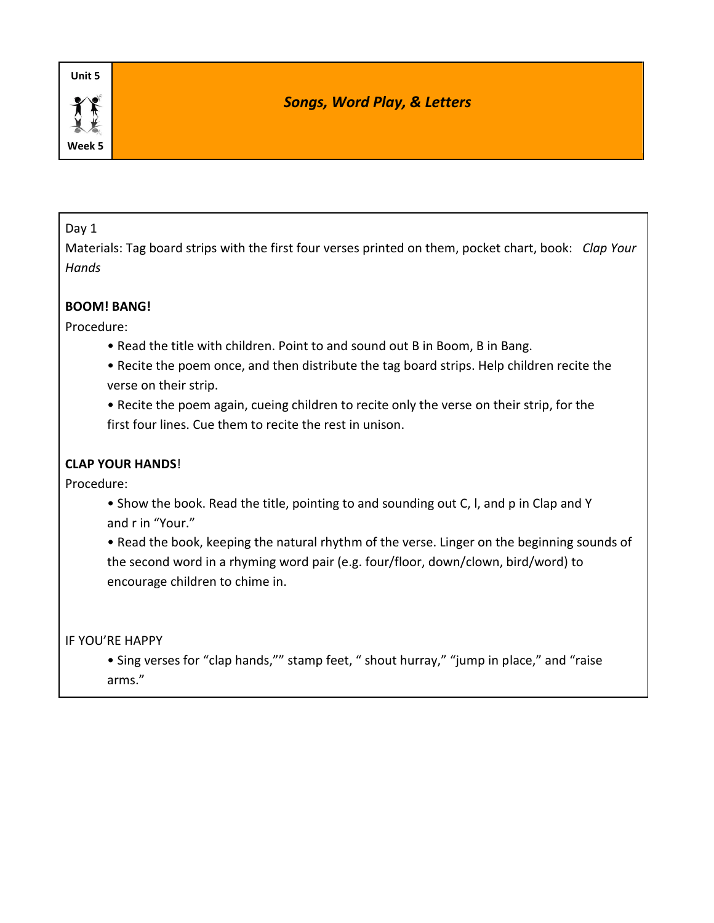# *Songs, Word Play, & Letters*

#### Day 1

Materials: Tag board strips with the first four verses printed on them, pocket chart, book: *Clap Your Hands*

### **BOOM! BANG!**

Procedure:

- Read the title with children. Point to and sound out B in Boom, B in Bang.
- Recite the poem once, and then distribute the tag board strips. Help children recite the verse on their strip.
- Recite the poem again, cueing children to recite only the verse on their strip, for the first four lines. Cue them to recite the rest in unison.

### **CLAP YOUR HANDS**!

Procedure:

- Show the book. Read the title, pointing to and sounding out C, l, and p in Clap and Y and r in "Your."
- Read the book, keeping the natural rhythm of the verse. Linger on the beginning sounds of the second word in a rhyming word pair (e.g. four/floor, down/clown, bird/word) to encourage children to chime in.

IF YOU'RE HAPPY

• Sing verses for "clap hands,"" stamp feet, " shout hurray," "jump in place," and "raise arms."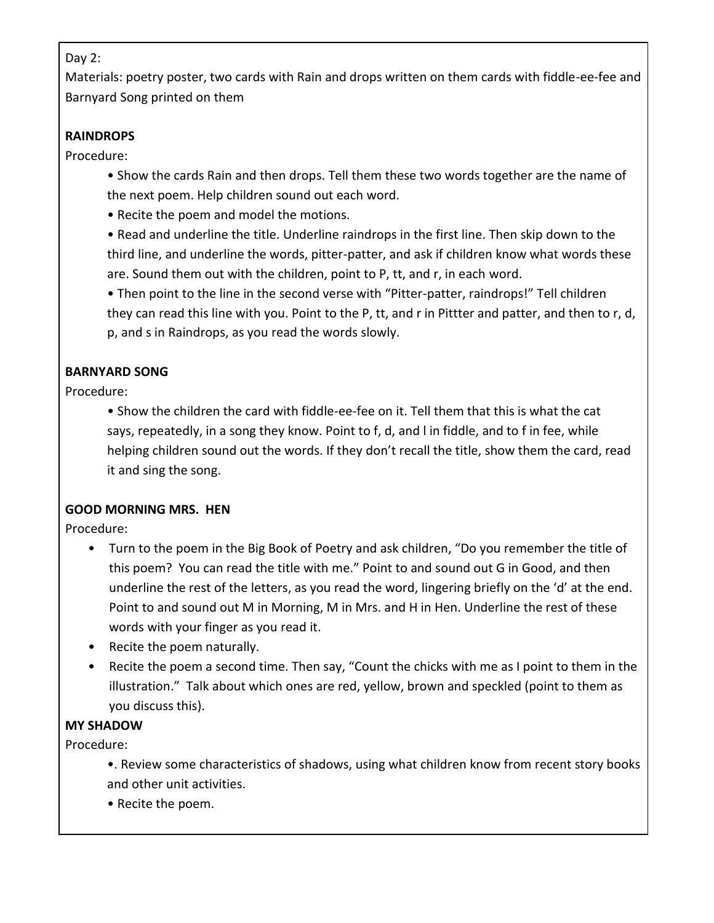### Day 2:

Materials: poetry poster, two cards with Rain and drops written on them cards with fiddle-ee-fee and Barnyard Song printed on them

### **RAINDROPS**

Procedure:

• Show the cards Rain and then drops. Tell them these two words together are the name of the next poem. Help children sound out each word.

• Recite the poem and model the motions.

• Read and underline the title. Underline raindrops in the first line. Then skip down to the third line, and underline the words, pitter-patter, and ask if children know what words these are. Sound them out with the children, point to P, tt, and r, in each word.

• Then point to the line in the second verse with "Pitter-patter, raindrops!" Tell children they can read this line with you. Point to the P, tt, and r in Pittter and patter, and then to r, d, p, and s in Raindrops, as you read the words slowly.

### **BARNYARD SONG**

Procedure:

• Show the children the card with fiddle-ee-fee on it. Tell them that this is what the cat says, repeatedly, in a song they know. Point to f, d, and l in fiddle, and to f in fee, while helping children sound out the words. If they don't recall the title, show them the card, read it and sing the song.

# **GOOD MORNING MRS. HEN**

Procedure:

- Turn to the poem in the Big Book of Poetry and ask children, "Do you remember the title of this poem? You can read the title with me." Point to and sound out G in Good, and then underline the rest of the letters, as you read the word, lingering briefly on the 'd' at the end. Point to and sound out M in Morning, M in Mrs. and H in Hen. Underline the rest of these words with your finger as you read it.
- Recite the poem naturally.
- Recite the poem a second time. Then say, "Count the chicks with me as I point to them in the illustration." Talk about which ones are red, yellow, brown and speckled (point to them as you discuss this).

# **MY SHADOW**

Procedure:

- •. Review some characteristics of shadows, using what children know from recent story books and other unit activities.
- Recite the poem.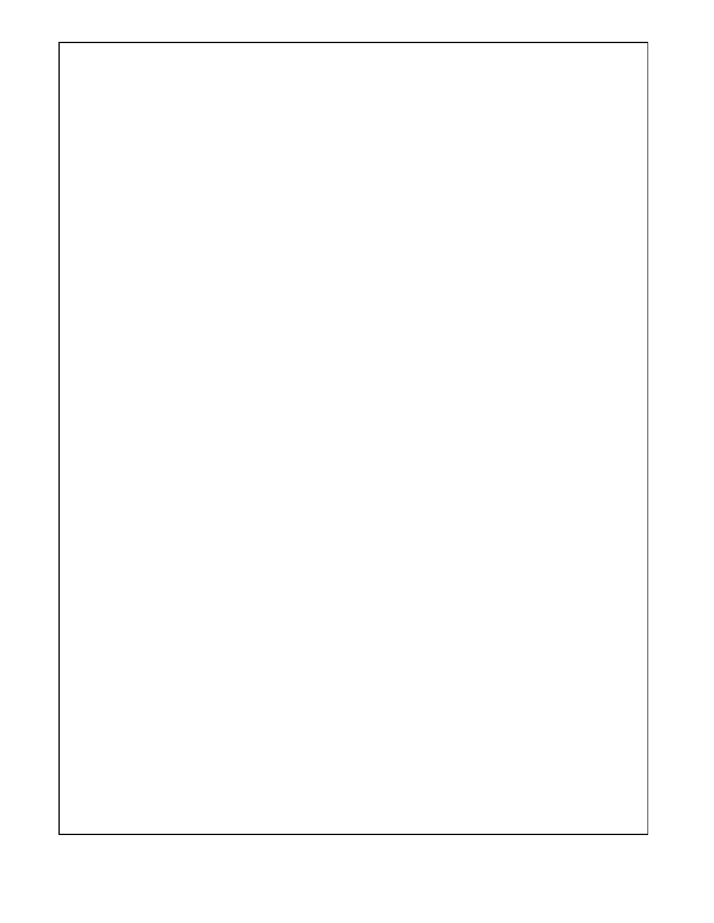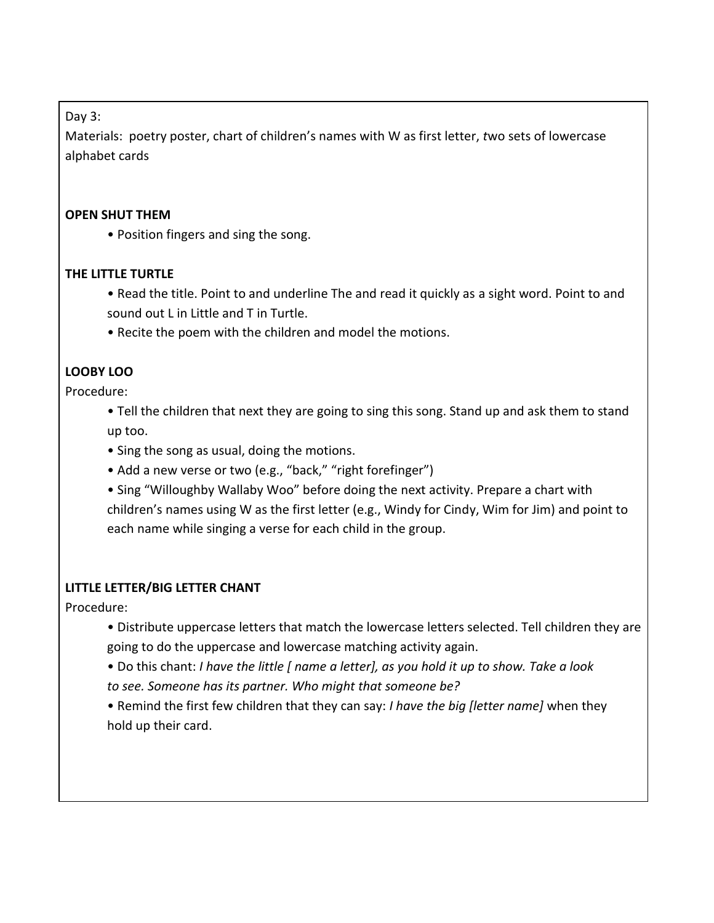Day 3:

Materials: poetry poster, chart of children's names with W as first letter, *t*wo sets of lowercase alphabet cards

#### **OPEN SHUT THEM**

• Position fingers and sing the song.

### **THE LITTLE TURTLE**

• Read the title. Point to and underline The and read it quickly as a sight word. Point to and sound out L in Little and T in Turtle.

• Recite the poem with the children and model the motions.

### **LOOBY LOO**

Procedure:

• Tell the children that next they are going to sing this song. Stand up and ask them to stand up too.

- Sing the song as usual, doing the motions.
- Add a new verse or two (e.g., "back," "right forefinger")

• Sing "Willoughby Wallaby Woo" before doing the next activity. Prepare a chart with children's names using W as the first letter (e.g., Windy for Cindy, Wim for Jim) and point to each name while singing a verse for each child in the group.

### **LITTLE LETTER/BIG LETTER CHANT**

Procedure:

- Distribute uppercase letters that match the lowercase letters selected. Tell children they are going to do the uppercase and lowercase matching activity again.
- Do this chant: *I have the little [ name a letter], as you hold it up to show. Take a look to see. Someone has its partner. Who might that someone be?*
- Remind the first few children that they can say: *I have the big [letter name]* when they hold up their card.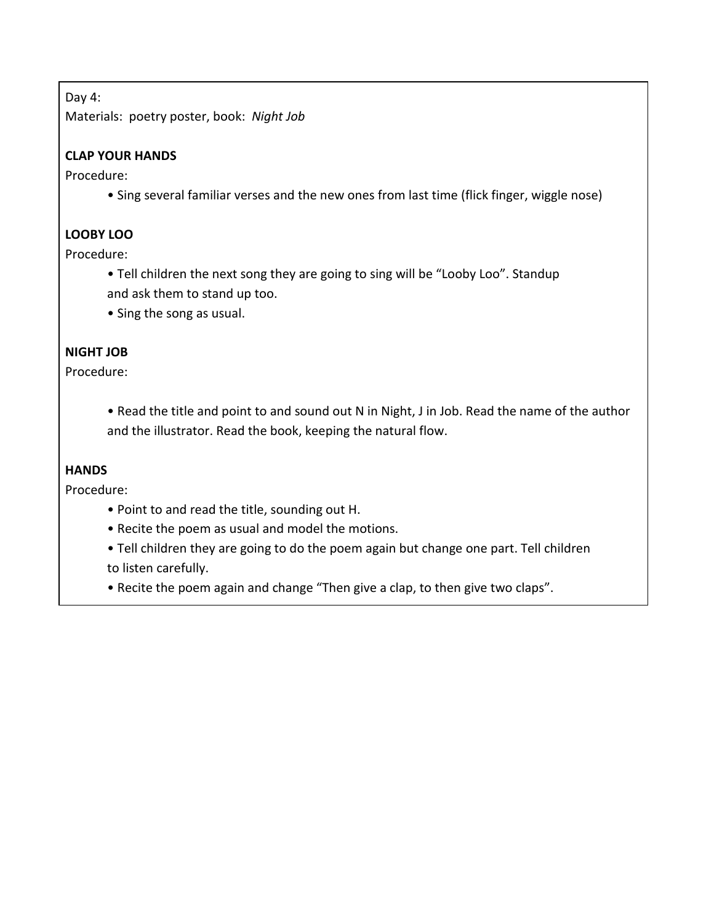Day 4:

Materials: poetry poster, book: *Night Job*

### **CLAP YOUR HANDS**

Procedure:

• Sing several familiar verses and the new ones from last time (flick finger, wiggle nose)

### **LOOBY LOO**

Procedure:

- Tell children the next song they are going to sing will be "Looby Loo". Standup and ask them to stand up too.
- Sing the song as usual.

### **NIGHT JOB**

Procedure:

• Read the title and point to and sound out N in Night, J in Job. Read the name of the author and the illustrator. Read the book, keeping the natural flow.

### **HANDS**

Procedure:

- Point to and read the title, sounding out H.
- Recite the poem as usual and model the motions.
- Tell children they are going to do the poem again but change one part. Tell children to listen carefully.

• Recite the poem again and change "Then give a clap, to then give two claps".